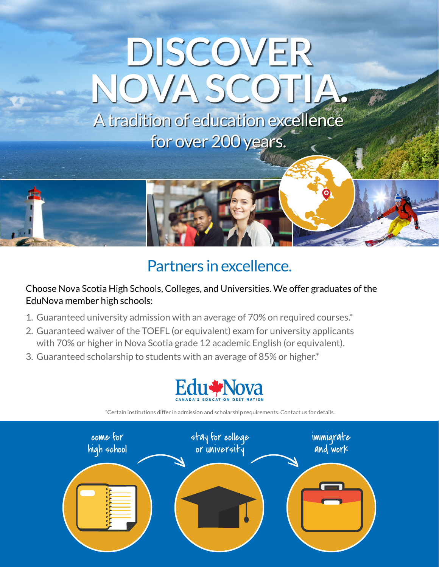# **DISCOVER NOVA SCOTIA.**

A tradition of education excellence for over 200 years.



## Partners in excellence.

Choose Nova Scotia High Schools, Colleges, and Universities. We offer graduates of the EduNova member high schools:

- 1. Guaranteed university admission with an average of 70% on required courses.\*
- 2. Guaranteed waiver of the TOEFL (or equivalent) exam for university applicants with 70% or higher in Nova Scotia grade 12 academic English (or equivalent).
- 3. Guaranteed scholarship to students with an average of 85% or higher.\*





\*Certain institutions differ in admission and scholarship requirements. Contact us for details.